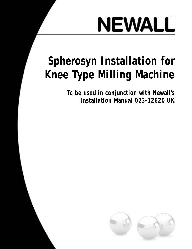

# **Spherosyn Installation for Knee Type Milling Machine**

**To be used in conjunction with Newall's Installation Manual 023-12620 UK**

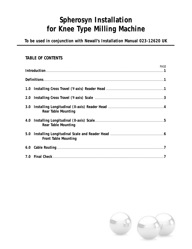# **Spherosyn Installation for Knee Type Milling Machine**

**To be used in conjunction with Newall's Installation Manual 023-12620 UK**

#### **TABLE OF CONTENTS**

|     | PAGE                        |  |
|-----|-----------------------------|--|
|     |                             |  |
|     |                             |  |
| 2.0 |                             |  |
|     | <b>Rear Table Mounting</b>  |  |
|     | <b>Rear Table Mounting</b>  |  |
| 5.0 | <b>Front Table Mounting</b> |  |
|     |                             |  |
|     |                             |  |

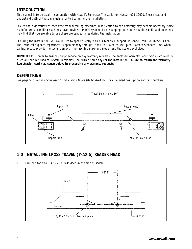#### **INTRODUCTION**

This manual is to be used in conjunction with Newall's Spherosyn™ Installation Manual, 023-12620. Please read and understand both of these manuals prior to beginning the installation.

Due to the wide variety of knee type manual milling machines, modification to the bracketry may become necessary. Some manufacturers of milling machines have provided for DRO systems by pre-tapping holes in the table, saddle and knee. You may find that you are able to use these pre-tapped holes during the installation.

If during the installation, you would like to speak directly with our technical support personnel, call **1-800-229-4376**. The Technical Support Department is open Monday through Friday, 8:30 a.m. to 5:00 p.m., Eastern Standard Time. When calling, please provide the technician with the machine make and model, and the scale travel sizes.

**IMPORTANT:** In order to ensure prompt service on any warranty requests, the enclosed Warranty Registration card must be filled out and returned to Newall Electronics, Inc. within three days of the installation. **Failure to return the Warranty Registration card may cause delays in processing any warranty requests.** 

#### **DEFINITIONS**

See page 5 in Newall's Spherosyn™ Installation Guide (023-12620 UK) for a detailed description and part numbers.



#### **1.0 INSTALLING CROSS TRAVEL (Y-AXIS) READER HEAD**

1.1 Drill and tap two 1/4" - 20 x 3/4" deep in the side of saddle.

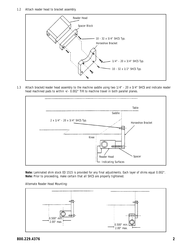

1.3 Attach bracket/reader head assembly to the machine saddle using two 1/4" - 20 x 3/4" SHCS and indicate reader head machined pads to within +/- 0.002" TIR to machine travel in both parallel planes.



**Note:** Laminated shim stock ED 1515 is provided for any final adjustments. Each layer of shims equal 0.002". **Note:** Prior to proceeding, make certain that all SHCS are properly tightened.

Alternate Reader Head Mounting:

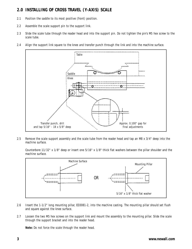#### **2.0 INSTALLING OF CROSS TRAVEL (Y-AXIS) SCALE**

- 2.1 Position the saddle to its most positive (front) position.
- 2.2 Assemble the scale support pin to the support link.
- 2.3 Slide the scale tube through the reader head and into the support pin. Do not tighten the pin's M5 hex screw to the scale tube.
- 2.4 Align the support link square to the knee and transfer punch through the link and into the machine surface.



2.5 Remove the scale support assembly and the scale tube from the reader head and tap an M8 x 3/4" deep into the machine surface.

Counterbore 11/32" x 1/8" deep or insert one 5/16" x 1/8" thick flat washers between the pillar shoulder and the machine surface.



- 2.6 Insert the 1-1/2" long mounting pillar, ED3081-2, into the machine casting. The mounting pillar should set flush and square against the knee surface.
- 2.7 Loosen the two M5 hex screws on the support link and mount the assembly to the mounting pillar. Slide the scale through the support bracket and into the reader head.

**Note:** Do not force the scale through the reader head.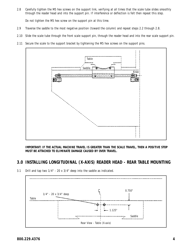2.8 Carefully tighten the M5 hex screws on the support link, verifying at all times that the scale tube slides smoothly through the reader head and into the support pin. If interference or deflection is felt then repeat this step.

Do not tighten the M5 hex screw on the support pin at this time.

- 2.9 Traverse the saddle to the most negative position (toward the column) and repeat steps 2.2 through 2.8.
- 2.10 Slide the scale tube through the front scale support pin, through the reader head and into the rear scale support pin.
- 2.11 Secure the scale to the support bracket by tightening the M5 hex screws on the support pins.



**IMPORTANT: IF THE ACTUAL MACHINE TRAVEL IS GREATER THAN THE SCALE TRAVEL, THEN A POSITIVE STOP MUST BE ATTACHED TO ELIMINATE DAMAGE CAUSED BY OVER TRAVEL.**

#### **3.0 INSTALLING LONGITUDINAL (X-AXIS) READER HEAD - REAR TABLE MOUNTING**

3.1 Drill and tap two 1/4" - 20 x 3/4" deep into the saddle as indicated.

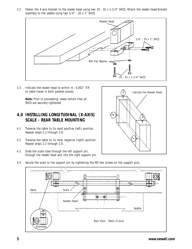3.2 Fasten the X-axis bracket to the reader head using two 10 - 32 x 1-1/4" SHCS. Attach the reader head/bracket assembly to the saddle using two 1/4" - 20 x 1" SHCS.



3.3 Indicate the reader head to within +/- 0.002" TIR to table travel in both parallel planes.

> **Note:** Prior to proceeding, make certain that all SHCS are securely tightened.

#### **4.0 INSTALLING LONGITUDINAL (X-AXIS) SCALE - REAR TABLE MOUNTING**

- 4.1 Traverse the table to its most positive (left) position. Repeat steps 2.2 through 2.8.
- 4.2 Traverse the table to its most negative (right) position. Repeat steps 2.2 through 2.8.
- 4.3 Slide the scale tube through the left support pin, through the reader head and into the right support pin.



4.4 Secure the scale to the support pin by tightening the M5 hex screws on the support pins.

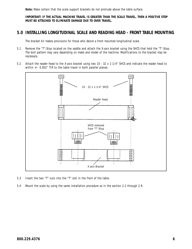**Note:** Make certain that the scale support brackets do not protrude above the table surface.

**IMPORTANT: IF THE ACTUAL MACHINE TRAVEL IS GREATER THAN THE SCALE TRAVEL, THEN A POSITIVE STOP MUST BE ATTACHED TO ELIMINATE DAMAGE DUE TO OVER TRAVEL.** 

#### **5.0 INSTALLING LONGITUDINAL SCALE AND READING HEAD - FRONT TABLE MOUNTING**

The bracket kit makes provisions for those who desire a front mounted longitudinal scale.

- 5.1 Remove the "T"-Stop located on the saddle and attach the X-axis bracket using the SHCS that held the "T"-Stop. The bolt pattern may vary depending on make and model of the machine. Modifications to the bracket may be necessary.
- 5.2 Attach the reader head to the X-axis bracket using two 10 32 x 1-1/4" SHCS and indicate the reader head to within +/- 0.002" TIR to the table travel in both parallel planes.



- 5.3 Insert the two "T" nuts into the "T" slot in the front of the table.
- 5.4 Mount the scale by using the same installation procedure as in the section 2.2 through 2.9.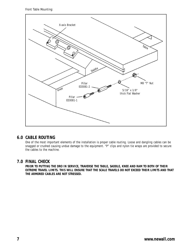Front Table Mounting:



#### **6.0 CABLE ROUTING**

One of the most important elements of the installation is proper cable routing. Loose and dangling cables can be snagged or crushed causing undue damage to the equipment. "P" clips and nylon tie wraps are provided to secure the cables to the machine.

#### **7.0 FINAL CHECK**

**PRIOR TO PUTTING THE DRO IN SERVICE, TRAVERSE THE TABLE, SADDLE, KNEE AND RAM TO BOTH OF THEIR EXTREME TRAVEL LIMITS. THIS WILL ENSURE THAT THE SCALE TRAVELS DO NOT EXCEED THEIR LIMITS AND THAT THE ARMORED CABLES ARE NOT STRESSED.**